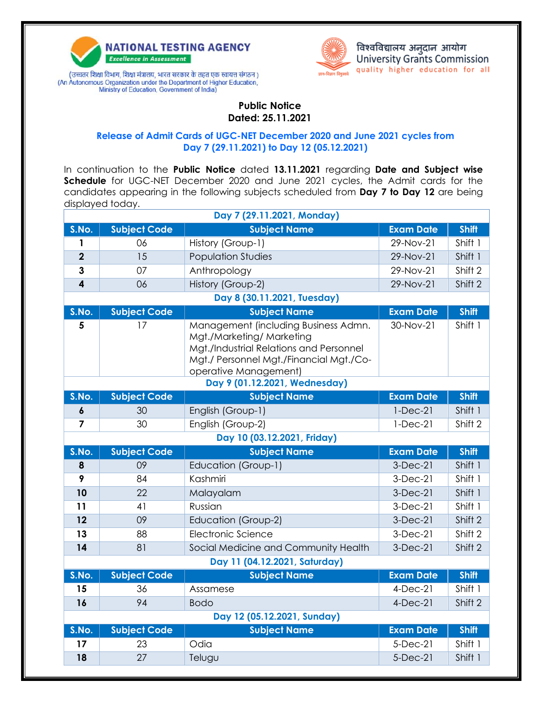

(उच्चतर शिक्षा विभाग, शिक्षा मंत्रालय, भारत सरकार के तहत एक स्वायत्त संगठन) (An Autonomous Organization under the Department of Higher Education, Ministry of Education, Government of India)



विश्वविद्यालय अनुदान आयोग<br>University Grants Commission quality higher education for all

**Public Notice Dated: 25.11.2021**

## **Release of Admit Cards of UGC-NET December 2020 and June 2021 cycles from Day 7 (29.11.2021) to Day 12 (05.12.2021)**

In continuation to the **Public Notice** dated **13.11.2021** regarding **Date and Subject wise Schedule** for UGC-NET December 2020 and June 2021 cycles, the Admit cards for the candidates appearing in the following subjects scheduled from **Day 7 to Day 12** are being displayed today.

| Day 7 (29.11.2021, Monday)  |                     |                                                                                                                                                                                                                   |                          |                    |  |  |  |
|-----------------------------|---------------------|-------------------------------------------------------------------------------------------------------------------------------------------------------------------------------------------------------------------|--------------------------|--------------------|--|--|--|
| S.No.                       | <b>Subject Code</b> | <b>Subject Name</b>                                                                                                                                                                                               | <b>Exam Date</b>         | <b>Shift</b>       |  |  |  |
| 1                           | 06                  | History (Group-1)                                                                                                                                                                                                 | 29-Nov-21                | Shift 1            |  |  |  |
| $\overline{2}$              | 15                  | <b>Population Studies</b>                                                                                                                                                                                         | 29-Nov-21                | Shift 1            |  |  |  |
| 3                           | 07                  | Anthropology                                                                                                                                                                                                      | 29-Nov-21                | Shift 2            |  |  |  |
| $\overline{\mathbf{4}}$     | 06                  | History (Group-2)                                                                                                                                                                                                 | 29-Nov-21                | Shift 2            |  |  |  |
| Day 8 (30.11.2021, Tuesday) |                     |                                                                                                                                                                                                                   |                          |                    |  |  |  |
| S.No.                       | <b>Subject Code</b> | <b>Subject Name</b>                                                                                                                                                                                               | <b>Exam Date</b>         | <b>Shift</b>       |  |  |  |
| 5                           | 17                  | Management (including Business Admn.<br>Mgt./Marketing/ Marketing<br>Mgt./Industrial Relations and Personnel<br>Mgt./ Personnel Mgt./Financial Mgt./Co-<br>operative Management)<br>Day 9 (01.12.2021, Wednesday) | 30-Nov-21                | Shift 1            |  |  |  |
| S.No.                       | <b>Subject Code</b> | <b>Subject Name</b>                                                                                                                                                                                               | <b>Exam Date</b>         | <b>Shift</b>       |  |  |  |
| 6                           | 30                  | English (Group-1)                                                                                                                                                                                                 | $1-Dec-21$               | Shift 1            |  |  |  |
| $\overline{7}$              | 30                  | English (Group-2)                                                                                                                                                                                                 | $1-Dec-21$               | Shift 2            |  |  |  |
| Day 10 (03.12.2021, Friday) |                     |                                                                                                                                                                                                                   |                          |                    |  |  |  |
|                             |                     |                                                                                                                                                                                                                   |                          |                    |  |  |  |
| S.No.                       | <b>Subject Code</b> | <b>Subject Name</b>                                                                                                                                                                                               | <b>Exam Date</b>         | <b>Shift</b>       |  |  |  |
| 8                           | 09                  | Education (Group-1)                                                                                                                                                                                               | $3-Dec-21$               | Shift 1            |  |  |  |
| 9                           | 84                  | Kashmiri                                                                                                                                                                                                          | $3-Dec-21$               | Shift 1            |  |  |  |
| 10                          | 22                  | Malayalam                                                                                                                                                                                                         | $3-Dec-21$               | Shift 1            |  |  |  |
| 11                          | 41                  | Russian                                                                                                                                                                                                           | $3-Dec-21$               | Shift 1            |  |  |  |
| 12                          | 09                  | Education (Group-2)                                                                                                                                                                                               | $3-Dec-21$               | Shift 2            |  |  |  |
| 13                          | 88                  | Electronic Science                                                                                                                                                                                                | $3-Dec-21$               | Shift 2            |  |  |  |
| 14                          | 81                  | Social Medicine and Community Health                                                                                                                                                                              | $3-Dec-21$               | Shift 2            |  |  |  |
|                             |                     | Day 11 (04.12.2021, Saturday)                                                                                                                                                                                     |                          |                    |  |  |  |
| S.No.                       | <b>Subject Code</b> | <b>Subject Name</b>                                                                                                                                                                                               | <b>Exam Date</b>         | <b>Shift</b>       |  |  |  |
| 15                          | 36                  | Assamese                                                                                                                                                                                                          | $4$ -Dec-21              | Shift 1            |  |  |  |
| 16                          | 94                  | <b>Bodo</b>                                                                                                                                                                                                       | $4$ -Dec-21              | Shift 2            |  |  |  |
|                             |                     | Day 12 (05.12.2021, Sunday)                                                                                                                                                                                       |                          |                    |  |  |  |
| S.No.                       | <b>Subject Code</b> | <b>Subject Name</b>                                                                                                                                                                                               | <b>Exam Date</b>         | <b>Shift</b>       |  |  |  |
| 17<br>18                    | 23<br>27            | Odia<br>Telugu                                                                                                                                                                                                    | $5-Dec-21$<br>$5-Dec-21$ | Shift 1<br>Shift 1 |  |  |  |